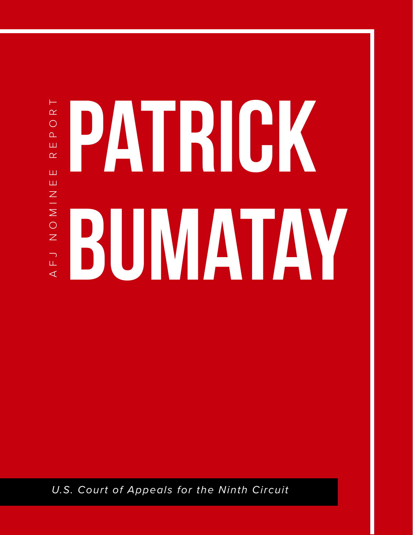## $\vdash$ AFJ NOMINEE REPORT PATRICK  $\alpha$  $\circ$  $\overline{\mathbf{r}}$ ш  $\alpha$ Ш Ш  $\frac{N}{N}$ BUMATAY  $\circ$  $\overline{z}$  $\begin{bmatrix} 1 \\ -1 \end{bmatrix}$ ◁

*U.S. Court of Appeals for the Ninth Circuit*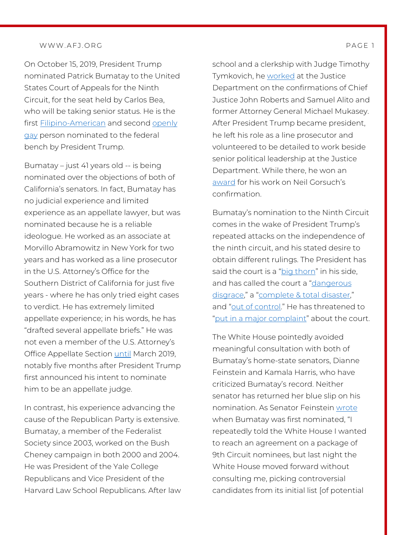## WWW.AFJ.ORG PAGE 1

On October 15, 2019, President Trump nominated Patrick Bumatay to the United States Court of Appeals for the Ninth Circuit, for the seat held by Carlos Bea, who will be taking senior status. He is the first [Filipino-American](https://thehill.com/homenews/senate/462391-trump-reignites-court-fight-with-ninth-circuit-pick) and second [openly](https://www.usatoday.com/story/news/politics/onpolitics/2018/10/17/patrick-bumatay-trump-judicial-nominee/1668092002/)  [gay](https://www.usatoday.com/story/news/politics/onpolitics/2018/10/17/patrick-bumatay-trump-judicial-nominee/1668092002/) person nominated to the federal bench by President Trump.

Bumatay – just 41 years old -- is being nominated over the objections of both of California's senators. In fact, Bumatay has no judicial experience and limited experience as an appellate lawyer, but was nominated because he is a reliable ideologue. He worked as an associate at Morvillo Abramowitz in New York for two years and has worked as a line prosecutor in the U.S. Attorney's Office for the Southern District of California for just five years - where he has only tried eight cases to verdict. He has extremely limited appellate experience; in his words, he has "drafted several appellate briefs." He was not even a member of the U.S. Attorney's Office Appellate Section [until](https://afj.org/wp-content/uploads/2019/10/Patrick-Bumatay-Senate-Questionaire-Update-Letter-OCR.pdf) March 2019, notably five months after President Trump first announced his intent to nominate him to be an appellate judge.

In contrast, his experience advancing the cause of the Republican Party is extensive. Bumatay, a member of the Federalist Society since 2003, worked on the Bush Cheney campaign in both 2000 and 2004. He was President of the Yale College Republicans and Vice President of the Harvard Law School Republicans. After law school and a clerkship with Judge Timothy Tymkovich, he [worked](https://www.nationalreview.com/bench-memos/who-is-patrick-bumatay-2/) at the Justice Department on the confirmations of Chief Justice John Roberts and Samuel Alito and former Attorney General Michael Mukasey. After President Trump became president, he left his role as a line prosecutor and volunteered to be detailed to work beside senior political leadership at the Justice Department. While there, he won an [award](https://www.law.com/nationallawjournal/2019/10/24/barrs-justice-dept-honors-kavanaugh-team-at-private-ceremony/) for his work on Neil Gorsuch's confirmation.

Bumatay's nomination to the Ninth Circuit comes in the wake of President Trump's repeated attacks on the independence of the ninth circuit, and his stated desire to obtain different rulings. The President has said the court is a ["big thorn"](https://www.cnn.com/2018/11/22/politics/trump-chief-justice-john-roberts-judges/index.html) in his side, and has called the court a ["dangerous](https://www.nbcnews.com/politics/supreme-court/rare-rebuke-chief-justice-roberts-slams-trump-comment-about-obama-n939016)  [disgrace,"](https://www.nbcnews.com/politics/supreme-court/rare-rebuke-chief-justice-roberts-slams-trump-comment-about-obama-n939016) a ["complete & total disaster,](https://www.cnn.com/2018/11/22/politics/trump-chief-justice-john-roberts-judges/index.html)" and ["out of control."](https://www.cnn.com/2018/11/22/politics/trump-chief-justice-john-roberts-judges/index.html) He has threatened to ["put in a major complaint"](https://thehill.com/homenews/administration/417728-trump-rails-against-ninth-circuit-court-of-appeals) about the court.

The White House pointedly avoided meaningful consultation with both of Bumatay's home-state senators, Dianne Feinstein and Kamala Harris, who have criticized Bumatay's record. Neither senator has returned her blue slip on his nomination. As Senator Feinstein [wrote](https://www.latimes.com/politics/la-na-pol-9th-circuit-nominees-20181011-story.html) when Bumatay was first nominated, "I repeatedly told the White House I wanted to reach an agreement on a package of 9th Circuit nominees, but last night the White House moved forward without consulting me, picking controversial candidates from its initial list [of potential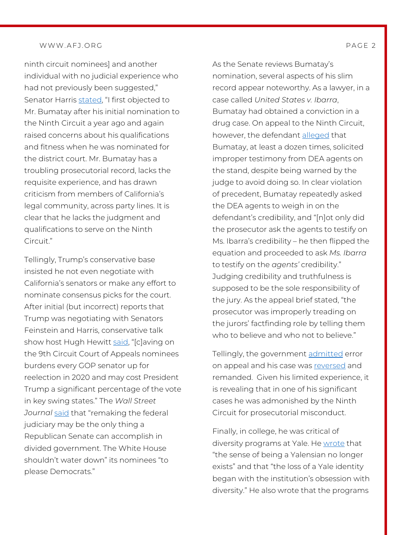## WWW.AFJ.ORG PAGE 2

ninth circuit nominees] and another individual with no judicial experience who had not previously been suggested," Senator Harris [stated,](https://www.mcclatchydc.com/news/politics-government/justice/article235300907.html) "I first objected to Mr. Bumatay after his initial nomination to the Ninth Circuit a year ago and again raised concerns about his qualifications and fitness when he was nominated for the district court. Mr. Bumatay has a troubling prosecutorial record, lacks the requisite experience, and has drawn criticism from members of California's legal community, across party lines. It is clear that he lacks the judgment and qualifications to serve on the Ninth Circuit."

Tellingly, Trump's conservative base insisted he not even negotiate with California's senators or make any effort to nominate consensus picks for the court. After initial (but incorrect) reports that Trump was negotiating with Senators Feinstein and Harris, conservative talk show host Hugh Hewitt [said,](https://www.politico.com/story/2019/01/30/trump-judges-conservative-deal-1137702) "[c]aving on the 9th Circuit Court of Appeals nominees burdens every GOP senator up for reelection in 2020 and may cost President Trump a significant percentage of the vote in key swing states." The *Wall Street Journal* [said](https://www.wsj.com/articles/a-bad-judges-deal-11548807717) that "remaking the federal judiciary may be the only thing a Republican Senate can accomplish in divided government. The White House shouldn't water down" its nominees "to please Democrats."

As the Senate reviews Bumatay's nomination, several aspects of his slim record appear noteworthy. As a lawyer, in a case called *United States v. Ibarra*, Bumatay had obtained a conviction in a drug case. On appeal to the Ninth Circuit, however, the defendant [alleged](https://afj.org/wp-content/uploads/2019/10/Bumatay-Brief.pdf) that Bumatay, at least a dozen times, solicited improper testimony from DEA agents on the stand, despite being warned by the judge to avoid doing so. In clear violation of precedent, Bumatay repeatedly asked the DEA agents to weigh in on the defendant's credibility, and "[n]ot only did the prosecutor ask the agents to testify on Ms. Ibarra's credibility – he then flipped the equation and proceeded to ask *Ms. Ibarra*  to testify on the *agents'* credibility." Judging credibility and truthfulness is supposed to be the sole responsibility of the jury. As the appeal brief stated, "the prosecutor was improperly treading on the jurors' factfinding role by telling them who to believe and who not to believe."

Tellingly, the government [admitted](https://afj.org/wp-content/uploads/2019/10/Motion-to-Reverse.pdf) error on appeal and his case was [reversed](https://afj.org/wp-content/uploads/2019/10/Reversal-Granted.pdf) and remanded. Given his limited experience, it is revealing that in one of his significant cases he was admonished by the Ninth Circuit for prosecutorial misconduct.

Finally, in college, he was critical of diversity programs at Yale. He [wrote](https://afj.org/wp-content/uploads/2019/10/Elihus-Diary.pdf) that "the sense of being a Yalensian no longer exists" and that "the loss of a Yale identity began with the institution's obsession with diversity." He also wrote that the programs